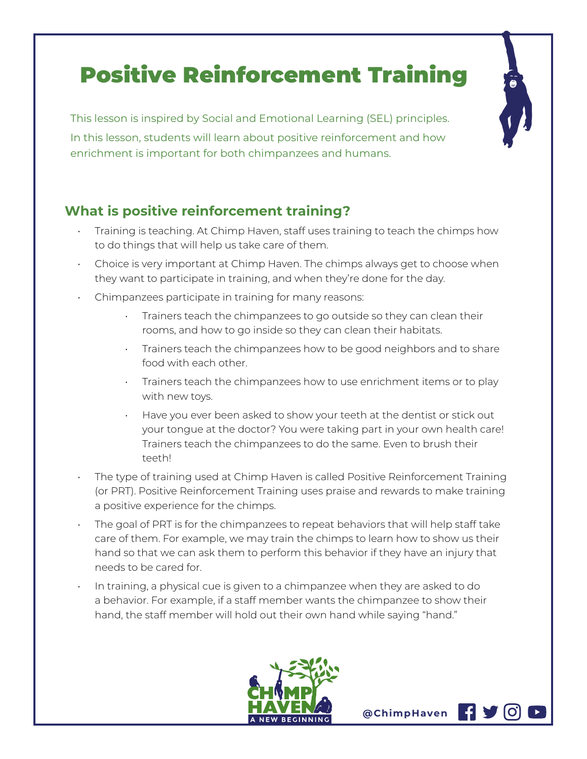# Positive Reinforcement Training

This lesson is inspired by Social and Emotional Learning (SEL) principles. In this lesson, students will learn about positive reinforcement and how enrichment is important for both chimpanzees and humans.

### **What is positive reinforcement training?**

- Training is teaching. At Chimp Haven, staff uses training to teach the chimps how to do things that will help us take care of them.
- Choice is very important at Chimp Haven. The chimps always get to choose when they want to participate in training, and when they're done for the day.
- Chimpanzees participate in training for many reasons:
	- Trainers teach the chimpanzees to go outside so they can clean their rooms, and how to go inside so they can clean their habitats.
	- Trainers teach the chimpanzees how to be good neighbors and to share food with each other.
	- Trainers teach the chimpanzees how to use enrichment items or to play with new toys.
	- Have you ever been asked to show your teeth at the dentist or stick out your tongue at the doctor? You were taking part in your own health care! Trainers teach the chimpanzees to do the same. Even to brush their teeth!
- The type of training used at Chimp Haven is called Positive Reinforcement Training (or PRT). Positive Reinforcement Training uses praise and rewards to make training a positive experience for the chimps.
- The goal of PRT is for the chimpanzees to repeat behaviors that will help staff take care of them. For example, we may train the chimps to learn how to show us their hand so that we can ask them to perform this behavior if they have an injury that needs to be cared for.
- In training, a physical cue is given to a chimpanzee when they are asked to do a behavior. For example, if a staff member wants the chimpanzee to show their hand, the staff member will hold out their own hand while saying "hand."



**@ChimpHaven**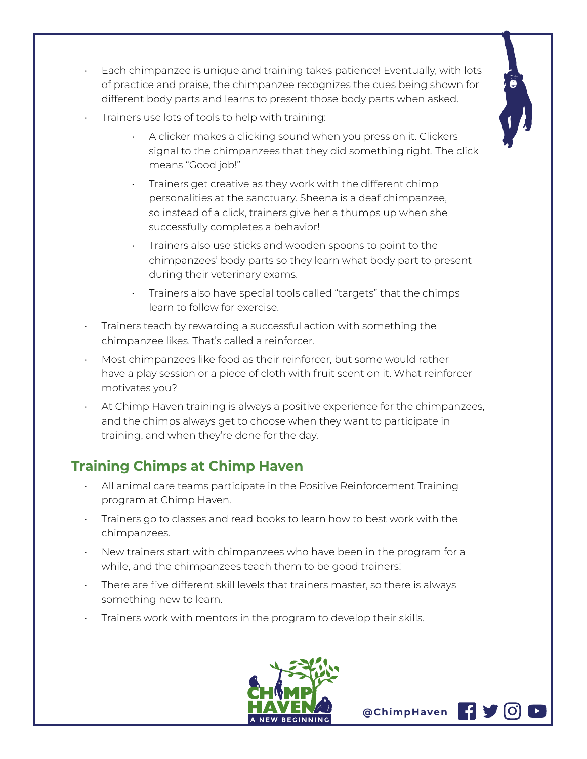

- Each chimpanzee is unique and training takes patience! Eventually, with lots of practice and praise, the chimpanzee recognizes the cues being shown for different body parts and learns to present those body parts when asked.
- Trainers use lots of tools to help with training:
	- A clicker makes a clicking sound when you press on it. Clickers signal to the chimpanzees that they did something right. The click means "Good job!"
	- Trainers get creative as they work with the different chimp personalities at the sanctuary. Sheena is a deaf chimpanzee, so instead of a click, trainers give her a thumps up when she successfully completes a behavior!
	- Trainers also use sticks and wooden spoons to point to the chimpanzees' body parts so they learn what body part to present during their veterinary exams.
	- Trainers also have special tools called "targets" that the chimps learn to follow for exercise.
- Trainers teach by rewarding a successful action with something the chimpanzee likes. That's called a reinforcer.
- Most chimpanzees like food as their reinforcer, but some would rather have a play session or a piece of cloth with fruit scent on it. What reinforcer motivates you?
- At Chimp Haven training is always a positive experience for the chimpanzees, and the chimps always get to choose when they want to participate in training, and when they're done for the day.

## **Training Chimps at Chimp Haven**

- All animal care teams participate in the Positive Reinforcement Training program at Chimp Haven.
- Trainers go to classes and read books to learn how to best work with the chimpanzees.
- New trainers start with chimpanzees who have been in the program for a while, and the chimpanzees teach them to be good trainers!
- There are five different skill levels that trainers master, so there is always something new to learn.
- Trainers work with mentors in the program to develop their skills.



**@ChimpHaven**

H V